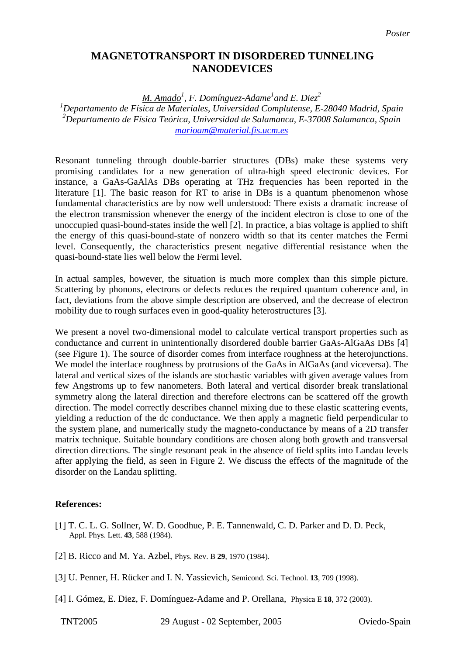## **MAGNETOTRANSPORT IN DISORDERED TUNNELING NANODEVICES**

## *M. Amado1 , F. Domínguez-Adame<sup>1</sup> and E. Diez<sup>2</sup>*

*1 Departamento de Física de Materiales, Universidad Complutense, E-28040 Madrid, Spain 2 Departamento de Física Teórica, Universidad de Salamanca, E-37008 Salamanca, Spain [marioam@material.fis.ucm.es](mailto:marioam@material.fis.ucm.es)*

Resonant tunneling through double-barrier structures (DBs) make these systems very promising candidates for a new generation of ultra-high speed electronic devices. For instance, a GaAs-GaAlAs DBs operating at THz frequencies has been reported in the literature [1]. The basic reason for RT to arise in DBs is a quantum phenomenon whose fundamental characteristics are by now well understood: There exists a dramatic increase of the electron transmission whenever the energy of the incident electron is close to one of the unoccupied quasi-bound-states inside the well [2]. In practice, a bias voltage is applied to shift the energy of this quasi-bound-state of nonzero width so that its center matches the Fermi level. Consequently, the characteristics present negative differential resistance when the quasi-bound-state lies well below the Fermi level.

In actual samples, however, the situation is much more complex than this simple picture. Scattering by phonons, electrons or defects reduces the required quantum coherence and, in fact, deviations from the above simple description are observed, and the decrease of electron mobility due to rough surfaces even in good-quality heterostructures [3].

We present a novel two-dimensional model to calculate vertical transport properties such as conductance and current in unintentionally disordered double barrier GaAs-AlGaAs DBs [4] (see Figure 1). The source of disorder comes from interface roughness at the heterojunctions. We model the interface roughness by protrusions of the GaAs in AlGaAs (and viceversa). The lateral and vertical sizes of the islands are stochastic variables with given average values from few Angstroms up to few nanometers. Both lateral and vertical disorder break translational symmetry along the lateral direction and therefore electrons can be scattered off the growth direction. The model correctly describes channel mixing due to these elastic scattering events, yielding a reduction of the dc conductance. We then apply a magnetic field perpendicular to the system plane, and numerically study the magneto-conductance by means of a 2D transfer matrix technique. Suitable boundary conditions are chosen along both growth and transversal direction directions. The single resonant peak in the absence of field splits into Landau levels after applying the field, as seen in Figure 2. We discuss the effects of the magnitude of the disorder on the Landau splitting.

## **References:**

- [1] T. C. L. G. Sollner, W. D. Goodhue, P. E. Tannenwald, C. D. Parker and D. D. Peck, Appl. Phys. Lett. **43**, 588 (1984).
- [2] B. Ricco and M. Ya. Azbel, Phys. Rev. B **29**, 1970 (1984).
- [3] U. Penner, H. Rücker and I. N. Yassievich, Semicond. Sci. Technol. **13**, 709 (1998).
- [4] I. Gómez, E. Diez, F. Domínguez-Adame and P. Orellana, Physica E **18**, 372 (2003).